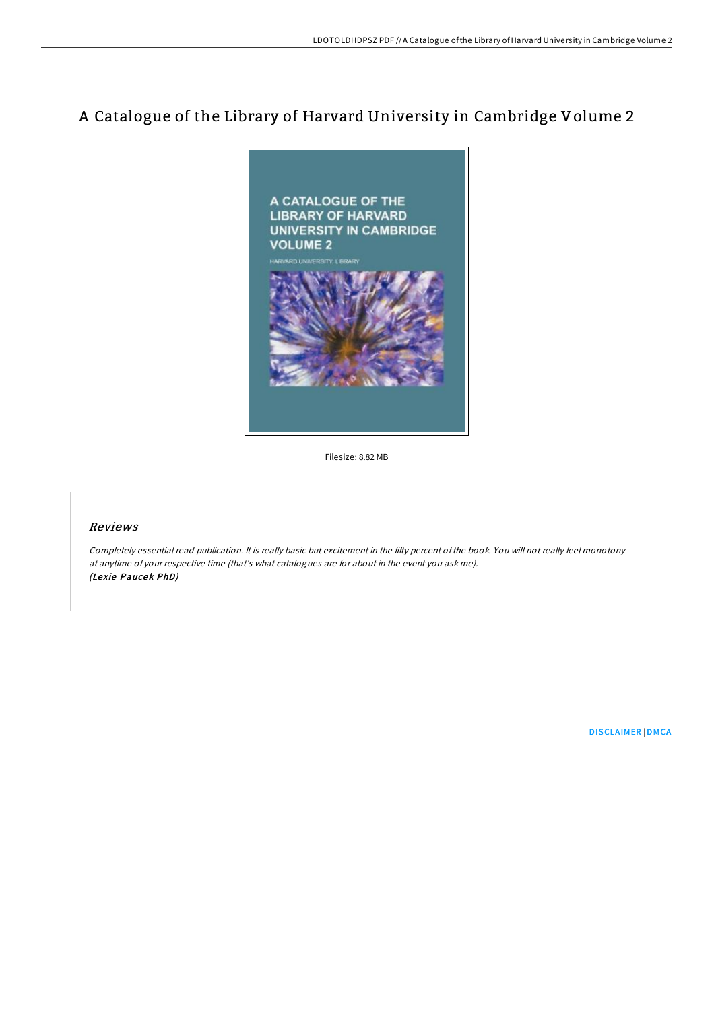# A Catalogue of the Library of Harvard University in Cambridge Volume 2



Filesize: 8.82 MB

### Reviews

Completely essential read publication. It is really basic but excitement in the fifty percent ofthe book. You will not really feel monotony at anytime of your respective time (that's what catalogues are for about in the event you ask me). (Lexie Paucek PhD)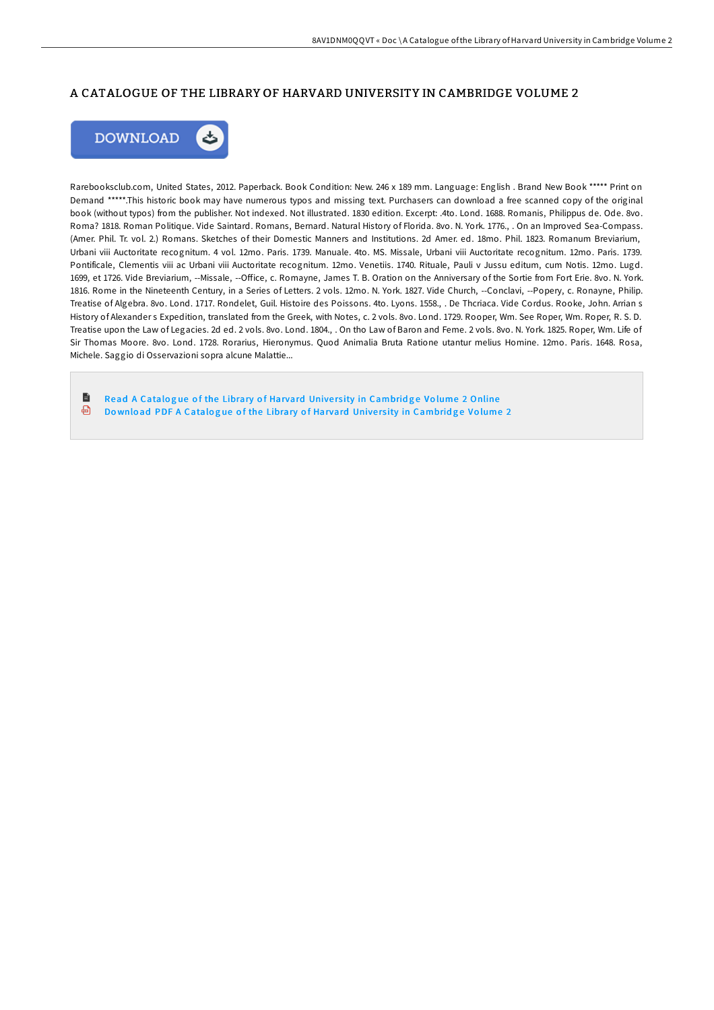## A CATALOGUE OF THE LIBRARY OF HARVARD UNIVERSITY IN CAMBRIDGE VOLUME 2



Rarebooksclub.com, United States, 2012. Paperback. Book Condition: New. 246 x 189 mm. Language: English . Brand New Book \*\*\*\*\* Print on Demand \*\*\*\*\*.This historic book may have numerous typos and missing text. Purchasers can download a free scanned copy of the original book (without typos) from the publisher. Not indexed. Not illustrated. 1830 edition. Excerpt: .4to. Lond. 1688. Romanis, Philippus de. Ode. 8vo. Roma? 1818. Roman Politique. Vide Saintard. Romans, Bernard. Natural History of Florida. 8vo. N. York. 1776., . On an Improved Sea-Compass. (Amer. Phil. Tr. vol. 2.) Romans. Sketches of their Domestic Manners and Institutions. 2d Amer. ed. 18mo. Phil. 1823. Romanum Breviarium, Urbani viii Auctoritate recognitum. 4 vol. 12mo. Paris. 1739. Manuale. 4to. MS. Missale, Urbani viii Auctoritate recognitum. 12mo. Paris. 1739. Pontificale, Clementis viii ac Urbani viii Auctoritate recognitum. 12mo. Venetiis. 1740. Rituale, Pauli v Jussu editum, cum Notis. 12mo. Lugd. 1699, et 1726. Vide Breviarium, --Missale, --Office, c. Romayne, James T. B. Oration on the Anniversary of the Sortie from Fort Erie. 8vo. N. York. 1816. Rome in the Nineteenth Century, in a Series of Letters. 2 vols. 12mo. N. York. 1827. Vide Church, --Conclavi, --Popery, c. Ronayne, Philip. Treatise of Algebra. 8vo. Lond. 1717. Rondelet, Guil. Histoire des Poissons. 4to. Lyons. 1558., . De Thcriaca. Vide Cordus. Rooke, John. Arrian s History of Alexander s Expedition, translated from the Greek, with Notes, c. 2 vols. 8vo. Lond. 1729. Rooper, Wm. See Roper, Wm. Roper, R. S. D. Treatise upon the Law of Legacies. 2d ed. 2 vols. 8vo. Lond. 1804., . On tho Law of Baron and Feme. 2 vols. 8vo. N. York. 1825. Roper, Wm. Life of Sir Thomas Moore. 8vo. Lond. 1728. Rorarius, Hieronymus. Quod Animalia Bruta Ratione utantur melius Homine. 12mo. Paris. 1648. Rosa, Michele. Saggio di Osservazioni sopra alcune Malattie...

h Read A Catalogue of the Library of Harvard University in [Cambrid](http://almighty24.tech/a-catalogue-of-the-library-of-harvard-university-3.html)ge Volume 2 Online ⊕ Download PDF A Catalogue of the Library of Harvard University in [Cambrid](http://almighty24.tech/a-catalogue-of-the-library-of-harvard-university-3.html)ge Volume 2